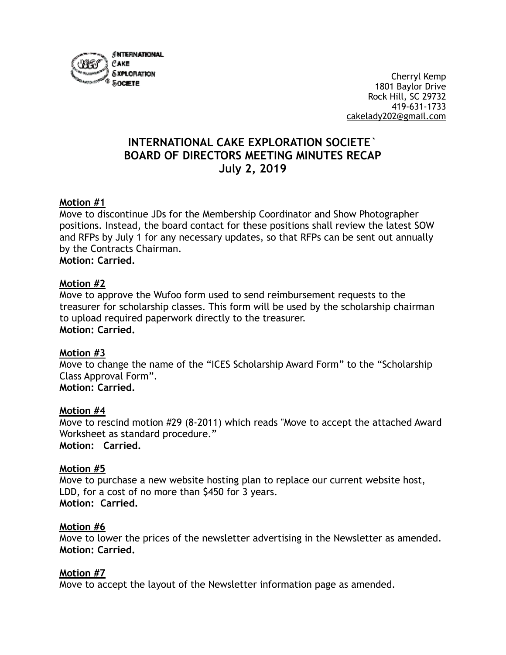

 Cherryl Kemp  $^{\circ}$  societie  $\sim$  1801 Baylor Drive Rock Hill, SC 29732 419-631-1733 [cakelady202@gmail.com](mailto:cakelady202@gmail.com)

# **INTERNATIONAL CAKE EXPLORATION SOCIETE` BOARD OF DIRECTORS MEETING MINUTES RECAP July 2, 2019**

## **Motion #1**

Move to discontinue JDs for the Membership Coordinator and Show Photographer positions. Instead, the board contact for these positions shall review the latest SOW and RFPs by July 1 for any necessary updates, so that RFPs can be sent out annually by the Contracts Chairman. **Motion: Carried.**

#### **Motion #2**

Move to approve the Wufoo form used to send reimbursement requests to the treasurer for scholarship classes. This form will be used by the scholarship chairman to upload required paperwork directly to the treasurer. **Motion: Carried.** 

## **Motion #3**

Move to change the name of the "ICES Scholarship Award Form" to the "Scholarship Class Approval Form". **Motion: Carried.** 

#### **Motion #4**

Move to rescind motion #29 (8-2011) which reads "Move to accept the attached Award Worksheet as standard procedure." **Motion: Carried.**

#### **Motion #5**

Move to purchase a new website hosting plan to replace our current website host, LDD, for a cost of no more than \$450 for 3 years. **Motion: Carried.** 

#### **Motion #6**

Move to lower the prices of the newsletter advertising in the Newsletter as amended. **Motion: Carried.** 

#### **Motion #7**

Move to accept the layout of the Newsletter information page as amended.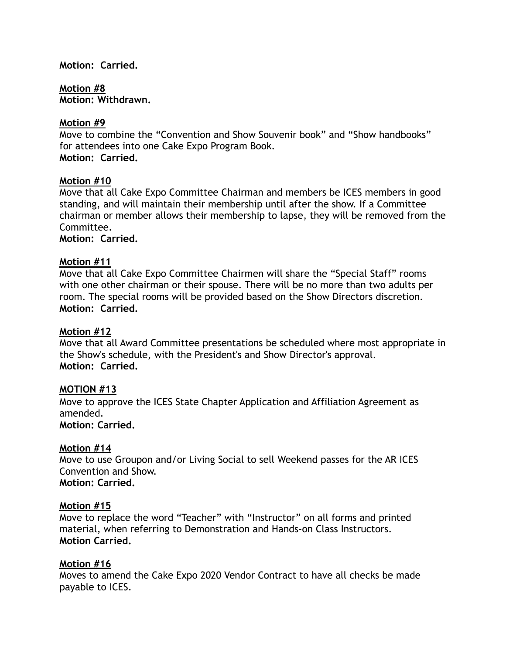#### **Motion: Carried.**

**Motion #8 Motion: Withdrawn.** 

### **Motion #9**

Move to combine the "Convention and Show Souvenir book" and "Show handbooks" for attendees into one Cake Expo Program Book. **Motion: Carried.**

#### **Motion #10**

Move that all Cake Expo Committee Chairman and members be ICES members in good standing, and will maintain their membership until after the show. If a Committee chairman or member allows their membership to lapse, they will be removed from the Committee.

**Motion: Carried.** 

## **Motion #11**

Move that all Cake Expo Committee Chairmen will share the "Special Staff" rooms with one other chairman or their spouse. There will be no more than two adults per room. The special rooms will be provided based on the Show Directors discretion. **Motion: Carried.** 

#### **Motion #12**

Move that all Award Committee presentations be scheduled where most appropriate in the Show's schedule, with the President's and Show Director's approval. **Motion: Carried.** 

## **MOTION #13**

Move to approve the ICES State Chapter Application and Affiliation Agreement as amended.

## **Motion: Carried.**

## **Motion #14**

Move to use Groupon and/or Living Social to sell Weekend passes for the AR ICES Convention and Show. **Motion: Carried.**

#### **Motion #15**

Move to replace the word "Teacher" with "Instructor" on all forms and printed material, when referring to Demonstration and Hands-on Class Instructors. **Motion Carried.** 

## **Motion #16**

Moves to amend the Cake Expo 2020 Vendor Contract to have all checks be made payable to ICES.